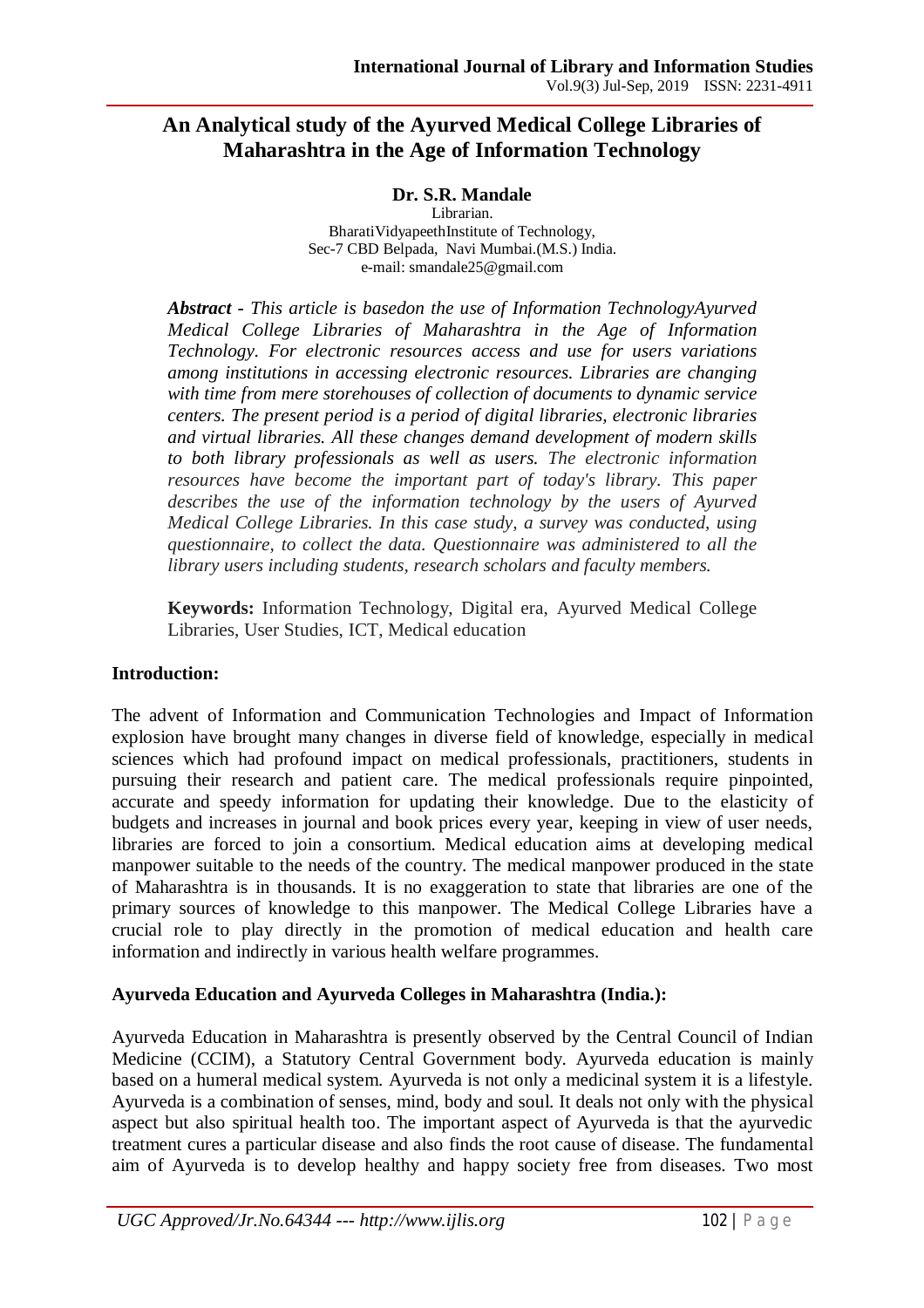# **An Analytical study of the Ayurved Medical College Libraries of Maharashtra in the Age of Information Technology**

**Dr. S.R. Mandale**

Librarian. BharatiVidyapeethInstitute of Technology, Sec-7 CBD Belpada, Navi Mumbai.(M.S.) India. e-mail: smandale25@gmail.com

*Abstract - This article is basedon the use of Information TechnologyAyurved Medical College Libraries of Maharashtra in the Age of Information Technology. For electronic resources access and use for users variations among institutions in accessing electronic resources. Libraries are changing with time from mere storehouses of collection of documents to dynamic service centers. The present period is a period of digital libraries, electronic libraries and virtual libraries. All these changes demand development of modern skills to both library professionals as well as users. The electronic information resources have become the important part of today's library. This paper describes the use of the information technology by the users of Ayurved Medical College Libraries. In this case study, a survey was conducted, using questionnaire, to collect the data. Questionnaire was administered to all the library users including students, research scholars and faculty members.* 

**Keywords:** Information Technology, Digital era, Ayurved Medical College Libraries, User Studies, ICT, Medical education

## **Introduction:**

The advent of Information and Communication Technologies and Impact of Information explosion have brought many changes in diverse field of knowledge, especially in medical sciences which had profound impact on medical professionals, practitioners, students in pursuing their research and patient care. The medical professionals require pinpointed, accurate and speedy information for updating their knowledge. Due to the elasticity of budgets and increases in journal and book prices every year, keeping in view of user needs, libraries are forced to join a consortium. Medical education aims at developing medical manpower suitable to the needs of the country. The medical manpower produced in the state of Maharashtra is in thousands. It is no exaggeration to state that libraries are one of the primary sources of knowledge to this manpower. The Medical College Libraries have a crucial role to play directly in the promotion of medical education and health care information and indirectly in various health welfare programmes.

## **Ayurveda Education and Ayurveda Colleges in Maharashtra (India.):**

Ayurveda Education in Maharashtra is presently observed by the Central Council of Indian Medicine (CCIM), a Statutory Central Government body. Ayurveda education is mainly based on a humeral medical system. Ayurveda is not only a medicinal system it is a lifestyle. Ayurveda is a combination of senses, mind, body and soul. It deals not only with the physical aspect but also spiritual health too. The important aspect of Ayurveda is that the ayurvedic treatment cures a particular disease and also finds the root cause of disease. The fundamental aim of Ayurveda is to develop healthy and happy society free from diseases. Two most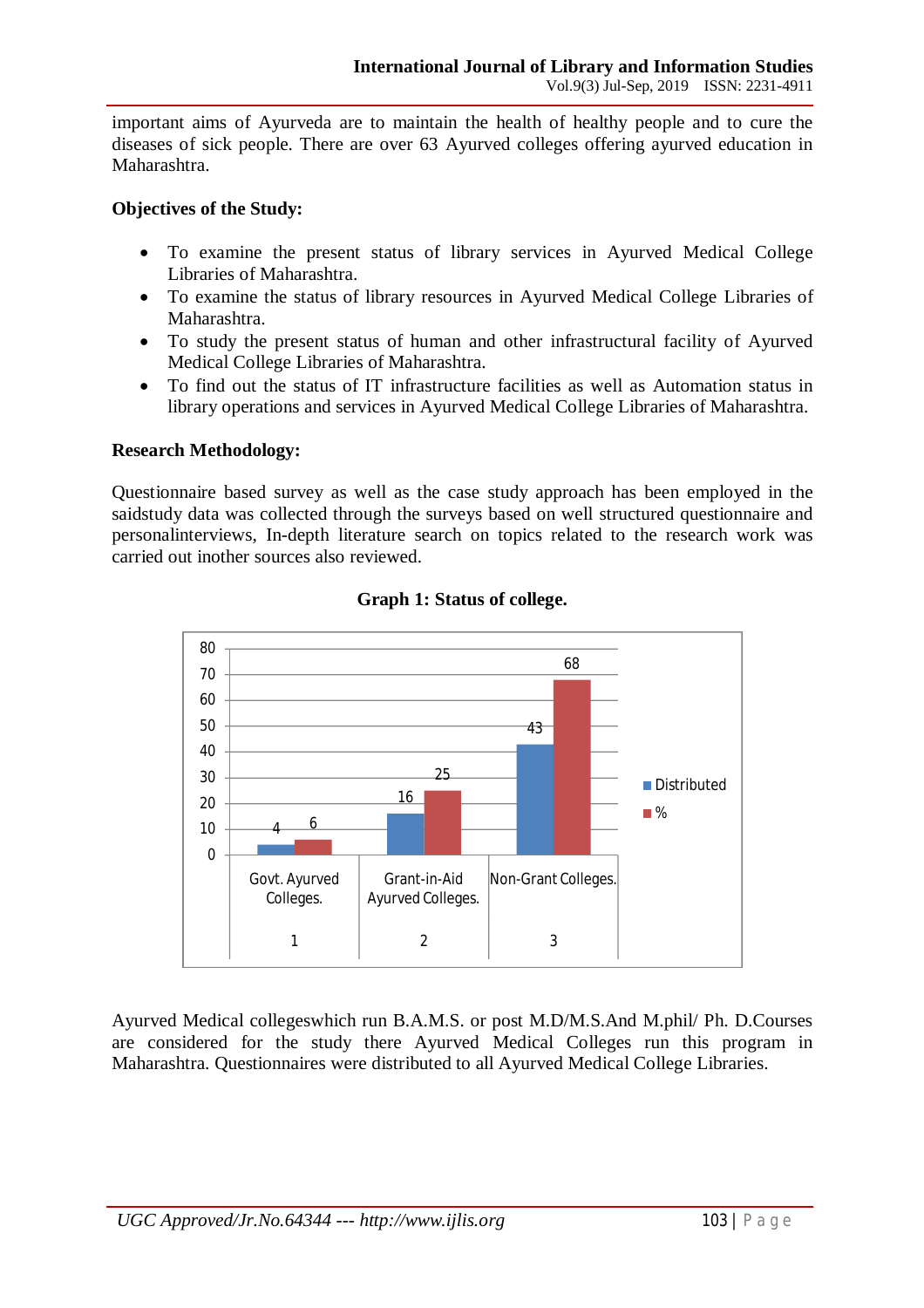important aims of Ayurveda are to maintain the health of healthy people and to cure the diseases of sick people. There are over 63 Ayurved colleges offering ayurved education in Maharashtra.

### **Objectives of the Study:**

- To examine the present status of library services in Ayurved Medical College Libraries of Maharashtra.
- To examine the status of library resources in Ayurved Medical College Libraries of Maharashtra.
- To study the present status of human and other infrastructural facility of Ayurved Medical College Libraries of Maharashtra.
- To find out the status of IT infrastructure facilities as well as Automation status in library operations and services in Ayurved Medical College Libraries of Maharashtra.

#### **Research Methodology:**

Questionnaire based survey as well as the case study approach has been employed in the saidstudy data was collected through the surveys based on well structured questionnaire and personalinterviews, In-depth literature search on topics related to the research work was carried out inother sources also reviewed.



## **Graph 1: Status of college.**

Ayurved Medical collegeswhich run B.A.M.S. or post M.D/M.S.And M.phil/ Ph. D.Courses are considered for the study there Ayurved Medical Colleges run this program in Maharashtra. Questionnaires were distributed to all Ayurved Medical College Libraries.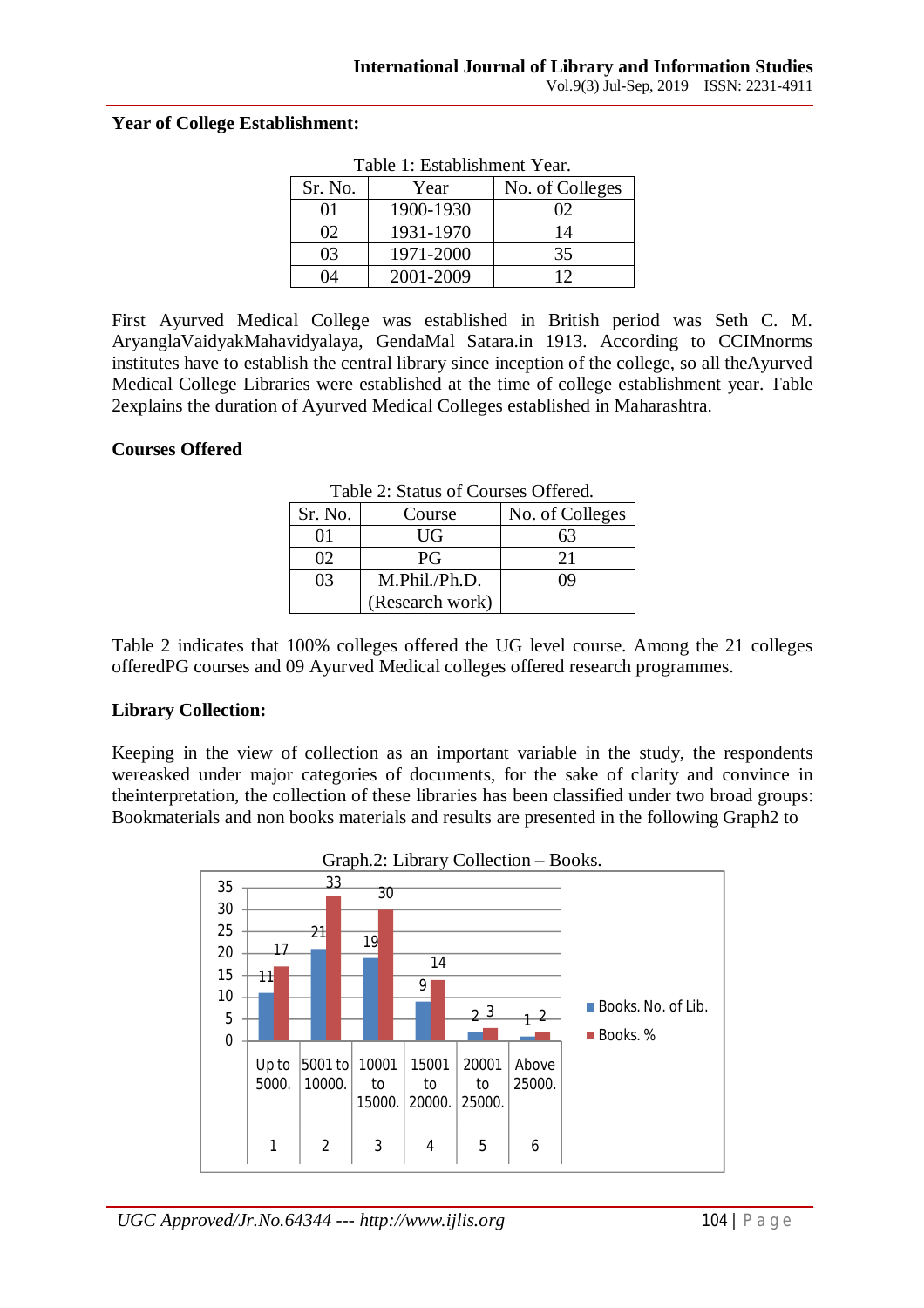#### **Year of College Establishment:**

| гаоје г. емаризниент геаг. |           |                 |  |  |
|----------------------------|-----------|-----------------|--|--|
| Sr. No.                    | Year      | No. of Colleges |  |  |
| 01                         | 1900-1930 | 02              |  |  |
| $\Omega$                   | 1931-1970 | 14              |  |  |
| 03                         | 1971-2000 | 35              |  |  |
| 74                         | 2001-2009 | 12              |  |  |

Table 1: Establishment Year.

First Ayurved Medical College was established in British period was Seth C. M. AryanglaVaidyakMahavidyalaya, GendaMal Satara.in 1913. According to CCIMnorms institutes have to establish the central library since inception of the college, so all theAyurved Medical College Libraries were established at the time of college establishment year. Table 2explains the duration of Ayurved Medical Colleges established in Maharashtra.

#### **Courses Offered**

| 10010 = 1000000 01 COMOOO OIIVIVO |                 |                 |  |  |
|-----------------------------------|-----------------|-----------------|--|--|
| Sr. No.                           | Course          | No. of Colleges |  |  |
|                                   | UG              | 63              |  |  |
| 02                                | PG              | 21              |  |  |
| 03                                | M.Phil./Ph.D.   | 09              |  |  |
|                                   | (Research work) |                 |  |  |

Table 2: Status of Courses Offered.

Table 2 indicates that 100% colleges offered the UG level course. Among the 21 colleges offeredPG courses and 09 Ayurved Medical colleges offered research programmes.

## **Library Collection:**

Keeping in the view of collection as an important variable in the study, the respondents wereasked under major categories of documents, for the sake of clarity and convince in theinterpretation, the collection of these libraries has been classified under two broad groups: Bookmaterials and non books materials and results are presented in the following Graph2 to

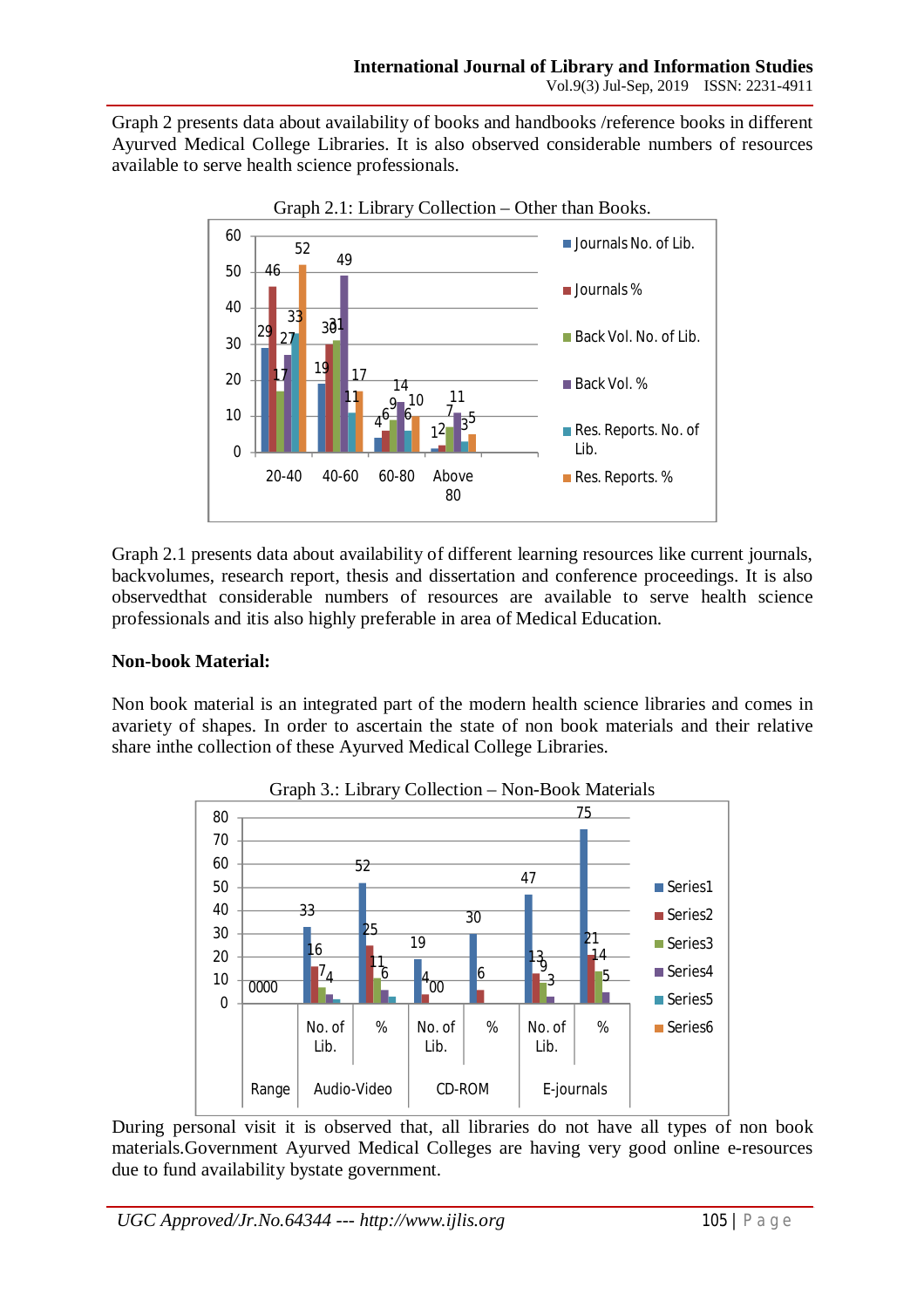Graph 2 presents data about availability of books and handbooks /reference books in different Ayurved Medical College Libraries. It is also observed considerable numbers of resources available to serve health science professionals.



Graph 2.1 presents data about availability of different learning resources like current journals, backvolumes, research report, thesis and dissertation and conference proceedings. It is also observedthat considerable numbers of resources are available to serve health science professionals and itis also highly preferable in area of Medical Education.

## **Non-book Material:**

Non book material is an integrated part of the modern health science libraries and comes in avariety of shapes. In order to ascertain the state of non book materials and their relative share inthe collection of these Ayurved Medical College Libraries.



During personal visit it is observed that, all libraries do not have all types of non book materials.Government Ayurved Medical Colleges are having very good online e-resources due to fund availability bystate government.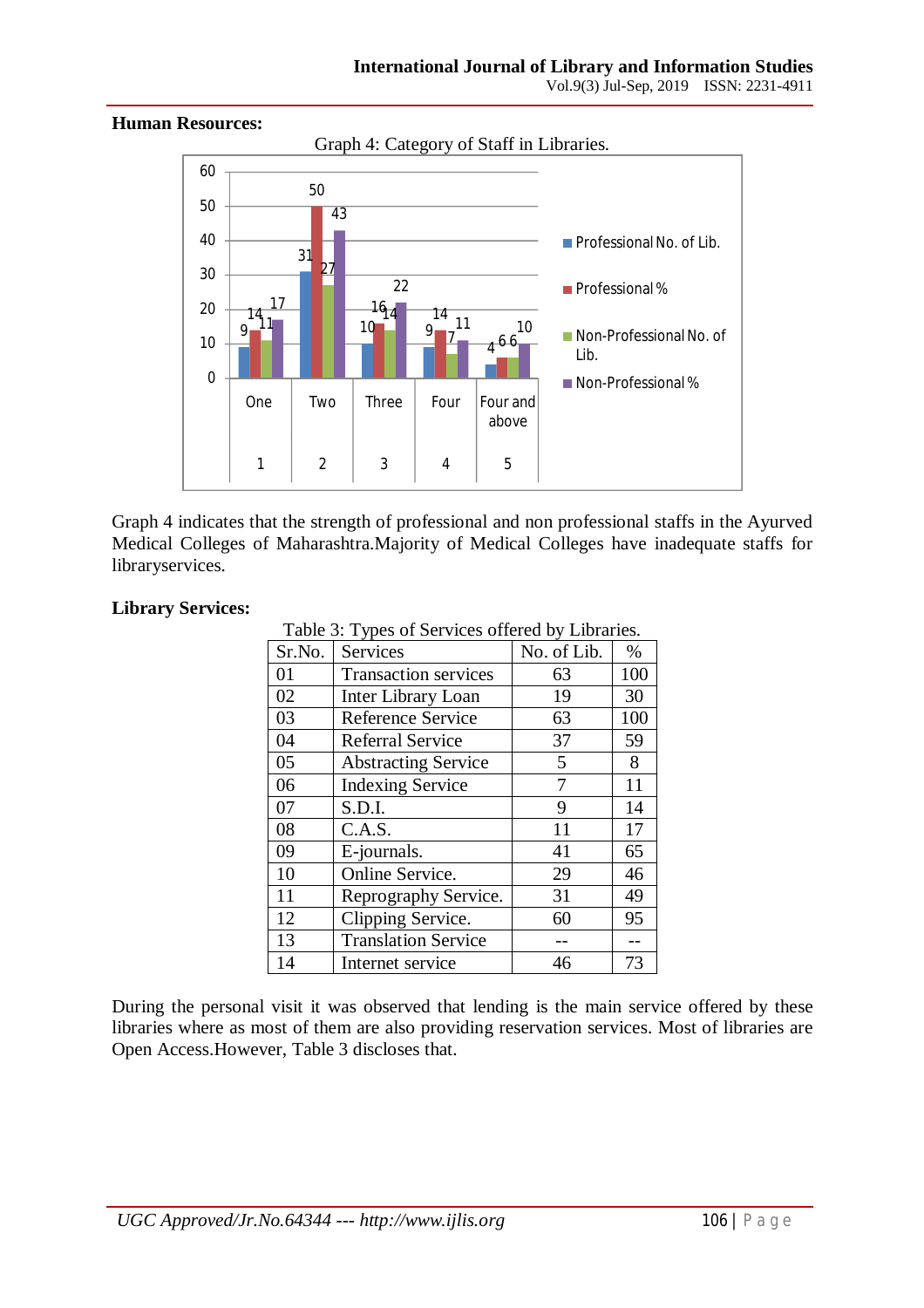

Graph 4 indicates that the strength of professional and non professional staffs in the Ayurved Medical Colleges of Maharashtra.Majority of Medical Colleges have inadequate staffs for libraryservices.

#### **Library Services:**

Table 3: Types of Services offered by Libraries.

| Sr.No. | <b>Services</b>             | No. of Lib. | $\%$ |
|--------|-----------------------------|-------------|------|
| 01     | <b>Transaction services</b> | 63          | 100  |
| 02     | Inter Library Loan          | 19          | 30   |
| 03     | <b>Reference Service</b>    | 63          | 100  |
| 04     | <b>Referral Service</b>     | 37          | 59   |
| 05     | <b>Abstracting Service</b>  | 5           | 8    |
| 06     | <b>Indexing Service</b>     | 7           | 11   |
| 07     | S.D.I.                      | 9           | 14   |
| 08     | C.A.S.                      | 11          | 17   |
| 09     | E-journals.                 | 41          | 65   |
| 10     | Online Service.             | 29          | 46   |
| 11     | Reprography Service.        | 31          | 49   |
| 12     | Clipping Service.           | 60          | 95   |
| 13     | <b>Translation Service</b>  |             |      |
| 14     | Internet service            | 46          | 73   |

During the personal visit it was observed that lending is the main service offered by these libraries where as most of them are also providing reservation services. Most of libraries are Open Access.However, Table 3 discloses that.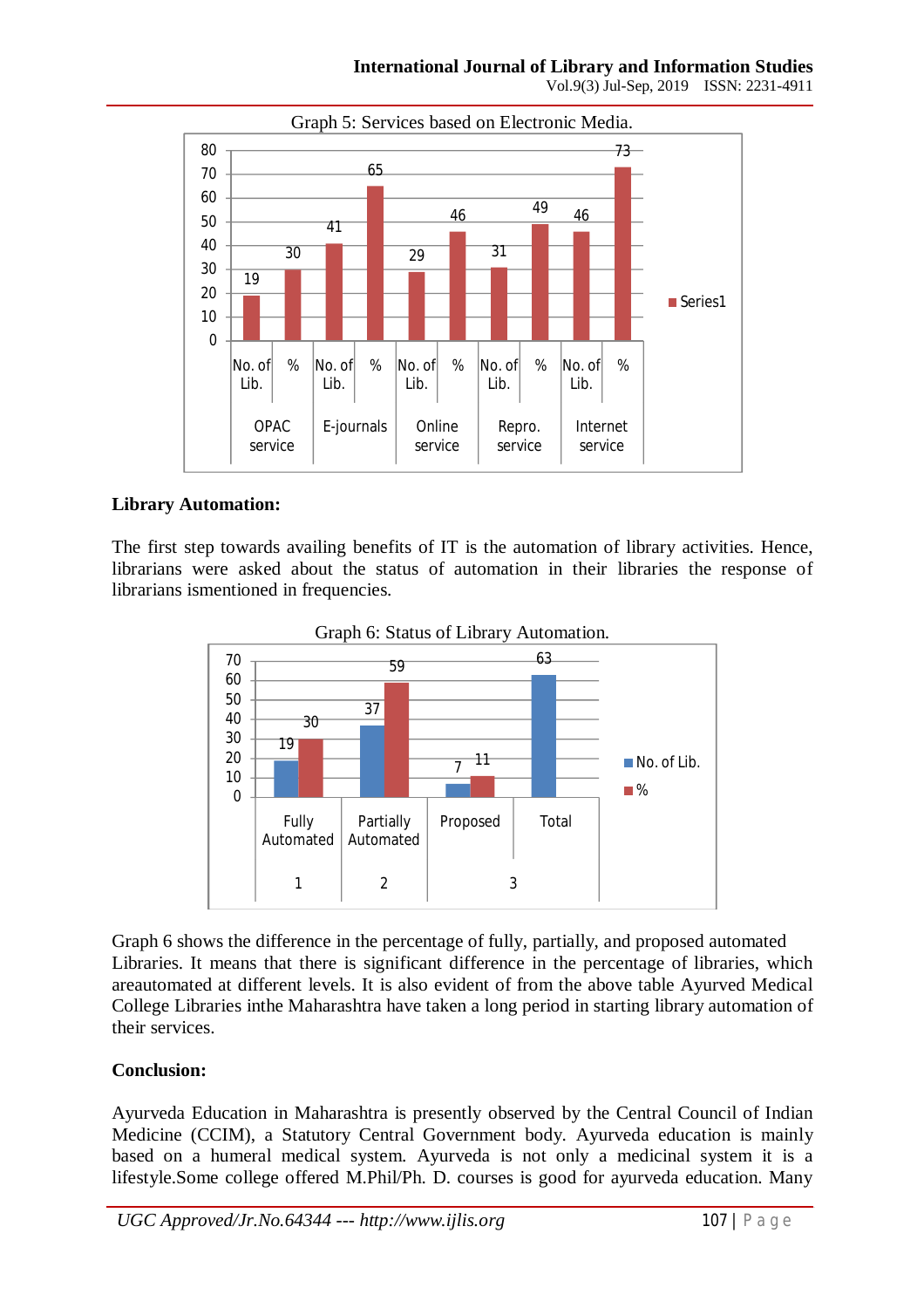

## **Library Automation:**

The first step towards availing benefits of IT is the automation of library activities. Hence, librarians were asked about the status of automation in their libraries the response of librarians ismentioned in frequencies.



Graph 6 shows the difference in the percentage of fully, partially, and proposed automated Libraries. It means that there is significant difference in the percentage of libraries, which areautomated at different levels. It is also evident of from the above table Ayurved Medical College Libraries inthe Maharashtra have taken a long period in starting library automation of their services.

#### **Conclusion:**

Ayurveda Education in Maharashtra is presently observed by the Central Council of Indian Medicine (CCIM), a Statutory Central Government body. Ayurveda education is mainly based on a humeral medical system. Ayurveda is not only a medicinal system it is a lifestyle.Some college offered M.Phil/Ph. D. courses is good for ayurveda education. Many